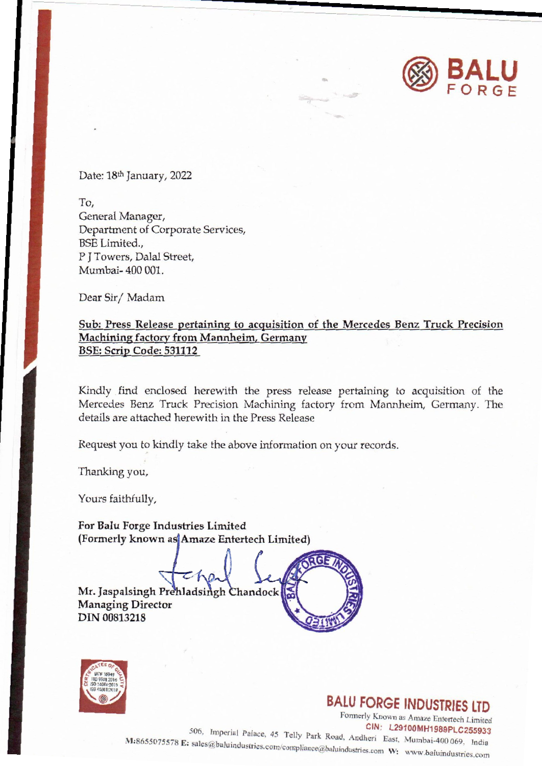

Date: 18th January, 2022

To, General Manager, General Manage Department of Corporate Services, BSE Limited.,<br>P J Towers, Dalal Street, Mumbai- 400 001. Mumbai- 400 001.

Dear Sir/ Madam

## Sub: Press Release pertaining to acquisition of the Mercedes Benz Truck Precision Machining factory from Mannheim, Germany BSE: Scrip Code: 531112

Kindly find enclosed herewith the press release pertaining to acquisition of the Mercedes Benz Truck Precision Machining factory from Mannheim, Germany. The details are attached herewith in the Press Release

Request you to kindly take the above information on your records.

Thanking you,

Yours faithfully,

For Balu Forge Industries Limited (Formerly known as Amaze Entertech Limited)

Mr. Jaspalsingh Prehladsingh Chandock Managing Director \ DIN 00813218



## **BALU FORGE INDUSTRIES LTD**

**B**<br>elly Park Ro<br>mpliance@ba Formerly Known as Amaze Entertech Limited<br>CIN: L29100MH1989PLC255933 , Imperial Palace, 45 Telly Park Road, Andheri East, Mumbai-400 069, India  $^{165675578}$  E: sales@baluindustries.com/compliance@baluindustries.com W: